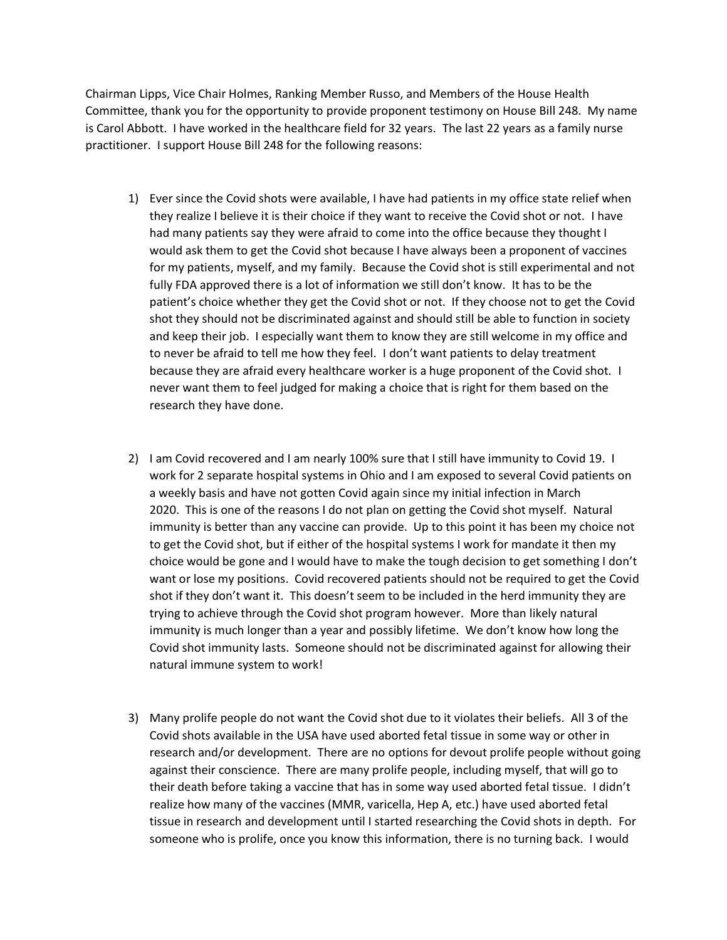Chairman Lipps, Vice Chair Holmes, Ranking Member Russo, and Members of the House Health Committee, thank you for the opportunity to provide proponent testimony on House Bill 248. My name is Carol Abbott. I have worked in the healthcare field for 32 years. The last 22 years as a family nurse practitioner. I support House Bill 248 for the following reasons:

- 1) Ever since the Covid shots were available, I have had patients in my office state relief when they realize I believe it is their choice if they want to receive the Covid shot or not. I have had many patients say they were afraid to come into the office because they thought I would ask them to get the Covid shot because I have always been a proponent of vaccines for my patients, myself, and my family. Because the Covid shot is still experimental and not fully FDA approved there is a lot of information we still don't know. It has to be the patient's choice whether they get the Covid shot or not. If they choose not to get the Covid shot they should not be discriminated against and should still be able to function in society and keep their job. I especially want them to know they are still welcome in my office and to never be afraid to tell me how they feel. I don't want patients to delay treatment because they are afraid every healthcare worker is a huge proponent of the Covid shot. I never want them to feel judged for making a choice that is right for them based on the research they have done.
- 2) I am Covid recovered and I am nearly 100% sure that I still have immunity to Covid 19. I work for 2 separate hospital systems in Ohio and I am exposed to several Covid patients on a weekly basis and have not gotten Covid again since my initial infection in March 2020. This is one of the reasons I do not plan on getting the Covid shot myself. Natural immunity is better than any vaccine can provide. Up to this point it has been my choice not to get the Covid shot, but if either of the hospital systems I work for mandate it then my choice would be gone and I would have to make the tough decision to get something I don't want or lose my positions. Covid recovered patients should not be required to get the Covid shot if they don't want it. This doesn't seem to be included in the herd immunity they are trying to achieve through the Covid shot program however. More than likely natural immunity is much longer than a year and possibly lifetime. We don't know how long the Covid shot immunity lasts. Someone should not be discriminated against for allowing their natural immune system to work!
- 3) Many prolife people do not want the Covid shot due to it violates their beliefs. All 3 of the Covid shots available in the USA have used aborted fetal tissue in some way or other in research and/or development. There are no options for devout prolife people without going against their conscience. There are many prolife people, including myself, that will go to their death before taking a vaccine that has in some way used aborted fetal tissue. I didn't realize how many of the vaccines (MMR, varicella, Hep A, etc.) have used aborted fetal tissue in research and development until I started researching the Covid shots in depth. For someone who is prolife, once you know this information, there is no turning back. I would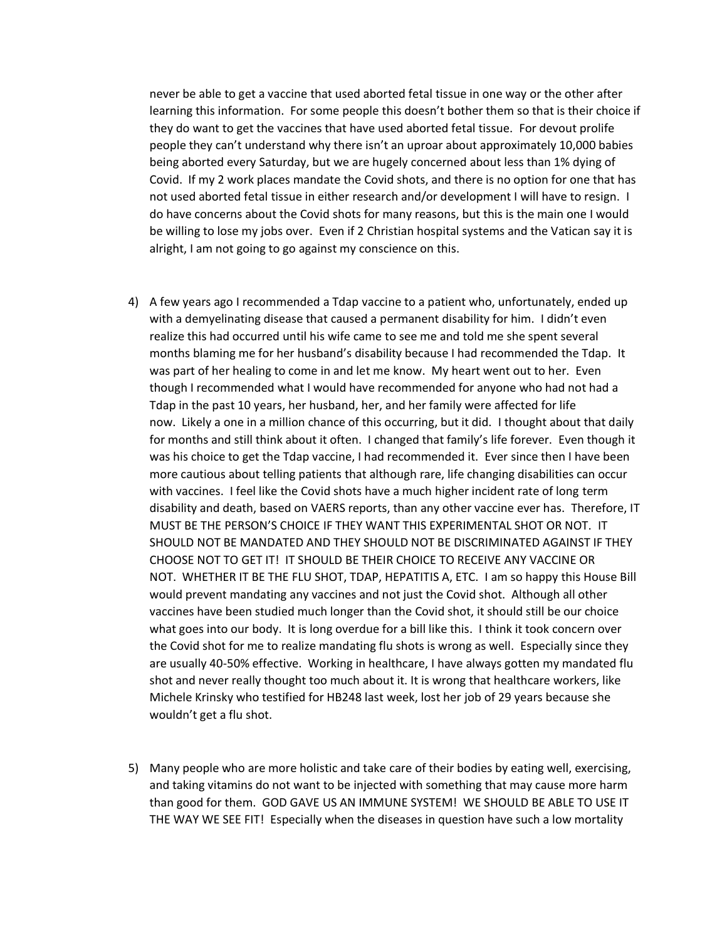never be able to get a vaccine that used aborted fetal tissue in one way or the other after learning this information. For some people this doesn't bother them so that is their choice if they do want to get the vaccines that have used aborted fetal tissue. For devout prolife people they can't understand why there isn't an uproar about approximately 10,000 babies being aborted every Saturday, but we are hugely concerned about less than 1% dying of Covid. If my 2 work places mandate the Covid shots, and there is no option for one that has not used aborted fetal tissue in either research and/or development I will have to resign. I do have concerns about the Covid shots for many reasons, but this is the main one I would be willing to lose my jobs over. Even if 2 Christian hospital systems and the Vatican say it is alright, I am not going to go against my conscience on this.

- 4) A few years ago I recommended a Tdap vaccine to a patient who, unfortunately, ended up with a demyelinating disease that caused a permanent disability for him. I didn't even realize this had occurred until his wife came to see me and told me she spent several months blaming me for her husband's disability because I had recommended the Tdap. It was part of her healing to come in and let me know. My heart went out to her. Even though I recommended what I would have recommended for anyone who had not had a Tdap in the past 10 years, her husband, her, and her family were affected for life now. Likely a one in a million chance of this occurring, but it did. I thought about that daily for months and still think about it often. I changed that family's life forever. Even though it was his choice to get the Tdap vaccine, I had recommended it. Ever since then I have been more cautious about telling patients that although rare, life changing disabilities can occur with vaccines. I feel like the Covid shots have a much higher incident rate of long term disability and death, based on VAERS reports, than any other vaccine ever has. Therefore, IT MUST BE THE PERSON'S CHOICE IF THEY WANT THIS EXPERIMENTAL SHOT OR NOT. IT SHOULD NOT BE MANDATED AND THEY SHOULD NOT BE DISCRIMINATED AGAINST IF THEY CHOOSE NOT TO GET IT! IT SHOULD BE THEIR CHOICE TO RECEIVE ANY VACCINE OR NOT. WHETHER IT BE THE FLU SHOT, TDAP, HEPATITIS A, ETC. I am so happy this House Bill would prevent mandating any vaccines and not just the Covid shot. Although all other vaccines have been studied much longer than the Covid shot, it should still be our choice what goes into our body. It is long overdue for a bill like this. I think it took concern over the Covid shot for me to realize mandating flu shots is wrong as well. Especially since they are usually 40-50% effective. Working in healthcare, I have always gotten my mandated flu shot and never really thought too much about it. It is wrong that healthcare workers, like Michele Krinsky who testified for HB248 last week, lost her job of 29 years because she wouldn't get a flu shot.
- 5) Many people who are more holistic and take care of their bodies by eating well, exercising, and taking vitamins do not want to be injected with something that may cause more harm than good for them. GOD GAVE US AN IMMUNE SYSTEM! WE SHOULD BE ABLE TO USE IT THE WAY WE SEE FIT! Especially when the diseases in question have such a low mortality